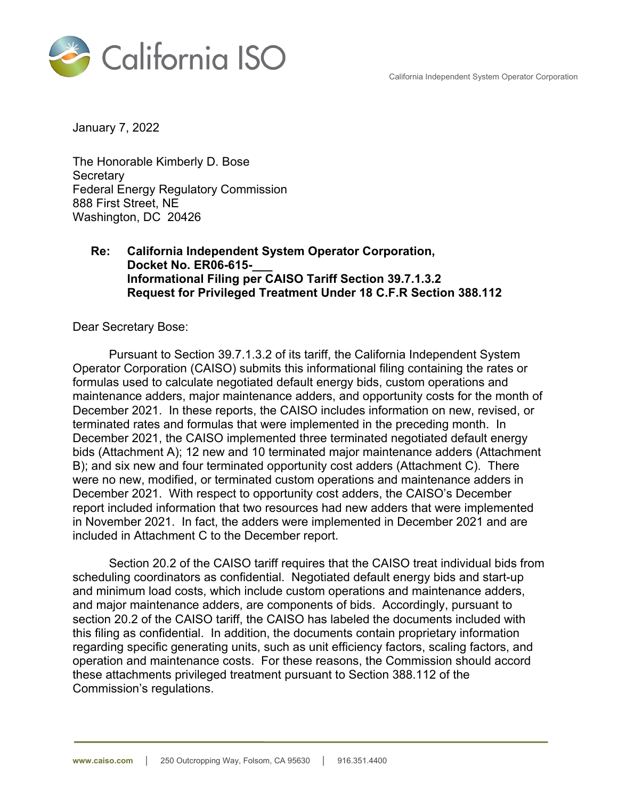California Independent System Operator Corporation



January 7, 2022

The Honorable Kimberly D. Bose **Secretary** Federal Energy Regulatory Commission 888 First Street, NE Washington, DC 20426

## **Re: California Independent System Operator Corporation, Docket No. ER06-615-\_\_\_ Informational Filing per CAISO Tariff Section 39.7.1.3.2 Request for Privileged Treatment Under 18 C.F.R Section 388.112**

Dear Secretary Bose:

Pursuant to Section 39.7.1.3.2 of its tariff, the California Independent System Operator Corporation (CAISO) submits this informational filing containing the rates or formulas used to calculate negotiated default energy bids, custom operations and maintenance adders, major maintenance adders, and opportunity costs for the month of December 2021. In these reports, the CAISO includes information on new, revised, or terminated rates and formulas that were implemented in the preceding month. In December 2021, the CAISO implemented three terminated negotiated default energy bids (Attachment A); 12 new and 10 terminated major maintenance adders (Attachment B); and six new and four terminated opportunity cost adders (Attachment C). There were no new, modified, or terminated custom operations and maintenance adders in December 2021. With respect to opportunity cost adders, the CAISO's December report included information that two resources had new adders that were implemented in November 2021. In fact, the adders were implemented in December 2021 and are included in Attachment C to the December report.

Section 20.2 of the CAISO tariff requires that the CAISO treat individual bids from scheduling coordinators as confidential. Negotiated default energy bids and start-up and minimum load costs, which include custom operations and maintenance adders, and major maintenance adders, are components of bids. Accordingly, pursuant to section 20.2 of the CAISO tariff, the CAISO has labeled the documents included with this filing as confidential. In addition, the documents contain proprietary information regarding specific generating units, such as unit efficiency factors, scaling factors, and operation and maintenance costs. For these reasons, the Commission should accord these attachments privileged treatment pursuant to Section 388.112 of the Commission's regulations.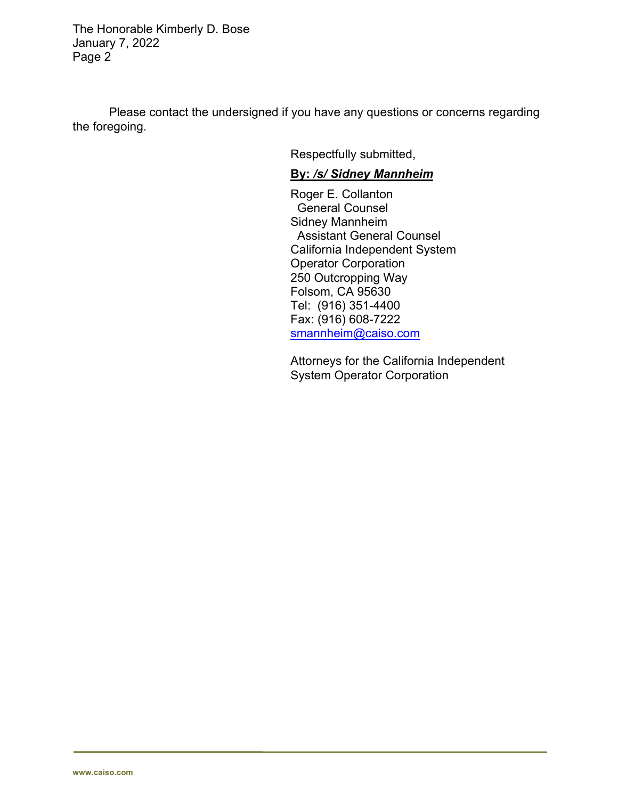The Honorable Kimberly D. Bose January 7, 2022 Page 2

Please contact the undersigned if you have any questions or concerns regarding the foregoing.

Respectfully submitted,

## **By:** */s/ Sidney Mannheim*

Roger E. Collanton General Counsel Sidney Mannheim Assistant General Counsel California Independent System Operator Corporation 250 Outcropping Way Folsom, CA 95630 Tel: (916) 351-4400 Fax: (916) 608-7222 smannheim@caiso.com

Attorneys for the California Independent System Operator Corporation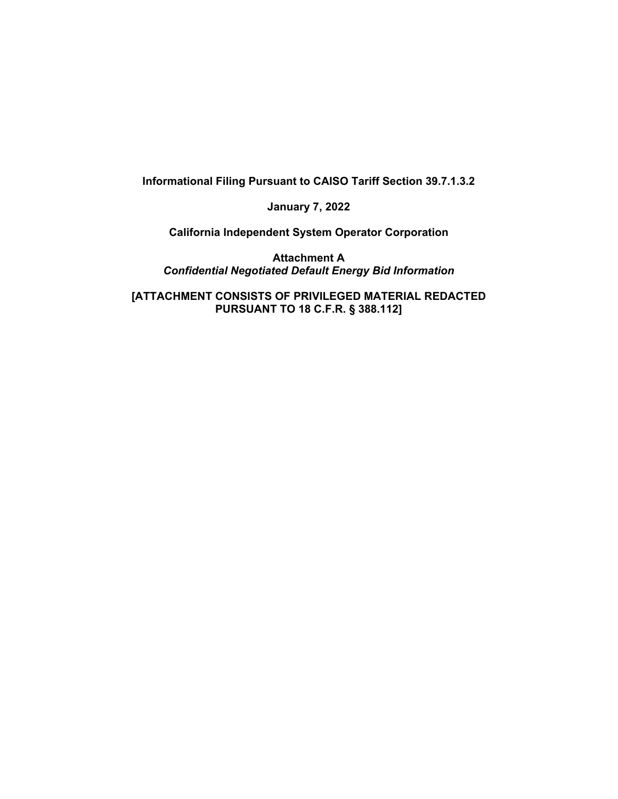**Informational Filing Pursuant to CAISO Tariff Section 39.7.1.3.2** 

**January 7, 2022** 

**California Independent System Operator Corporation** 

**Attachment A**  *Confidential Negotiated Default Energy Bid Information* 

**[ATTACHMENT CONSISTS OF PRIVILEGED MATERIAL REDACTED PURSUANT TO 18 C.F.R. § 388.112]**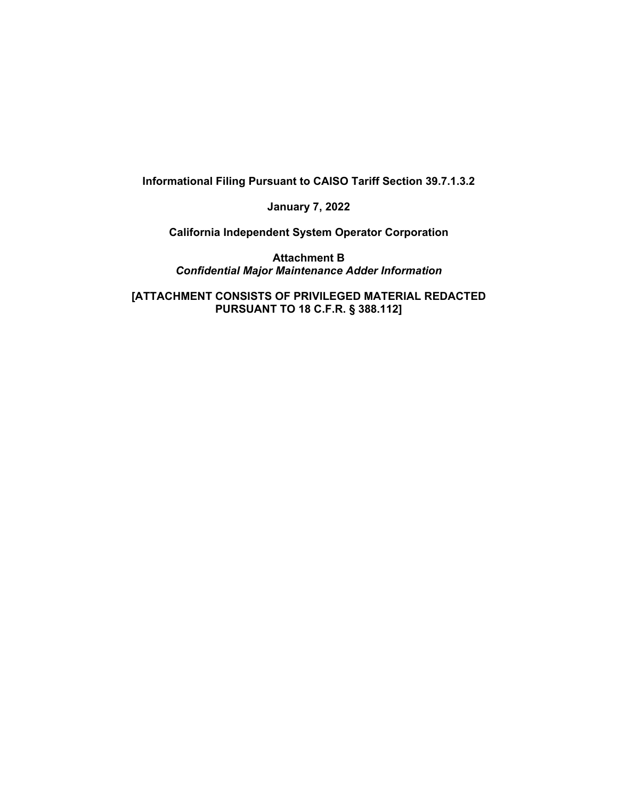**Informational Filing Pursuant to CAISO Tariff Section 39.7.1.3.2** 

**January 7, 2022** 

**California Independent System Operator Corporation** 

**Attachment B**  *Confidential Major Maintenance Adder Information* 

**[ATTACHMENT CONSISTS OF PRIVILEGED MATERIAL REDACTED PURSUANT TO 18 C.F.R. § 388.112]**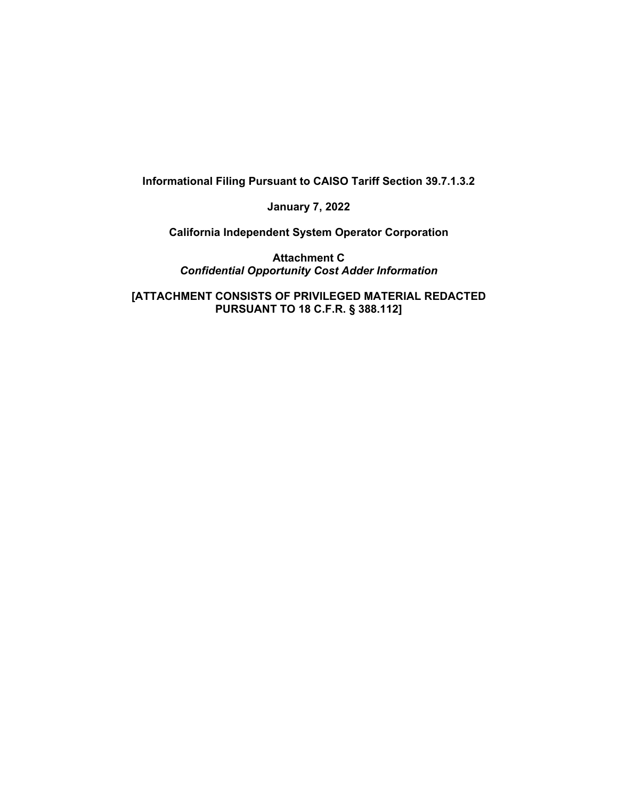**Informational Filing Pursuant to CAISO Tariff Section 39.7.1.3.2** 

**January 7, 2022** 

**California Independent System Operator Corporation** 

**Attachment C**  *Confidential Opportunity Cost Adder Information* 

**[ATTACHMENT CONSISTS OF PRIVILEGED MATERIAL REDACTED PURSUANT TO 18 C.F.R. § 388.112]**